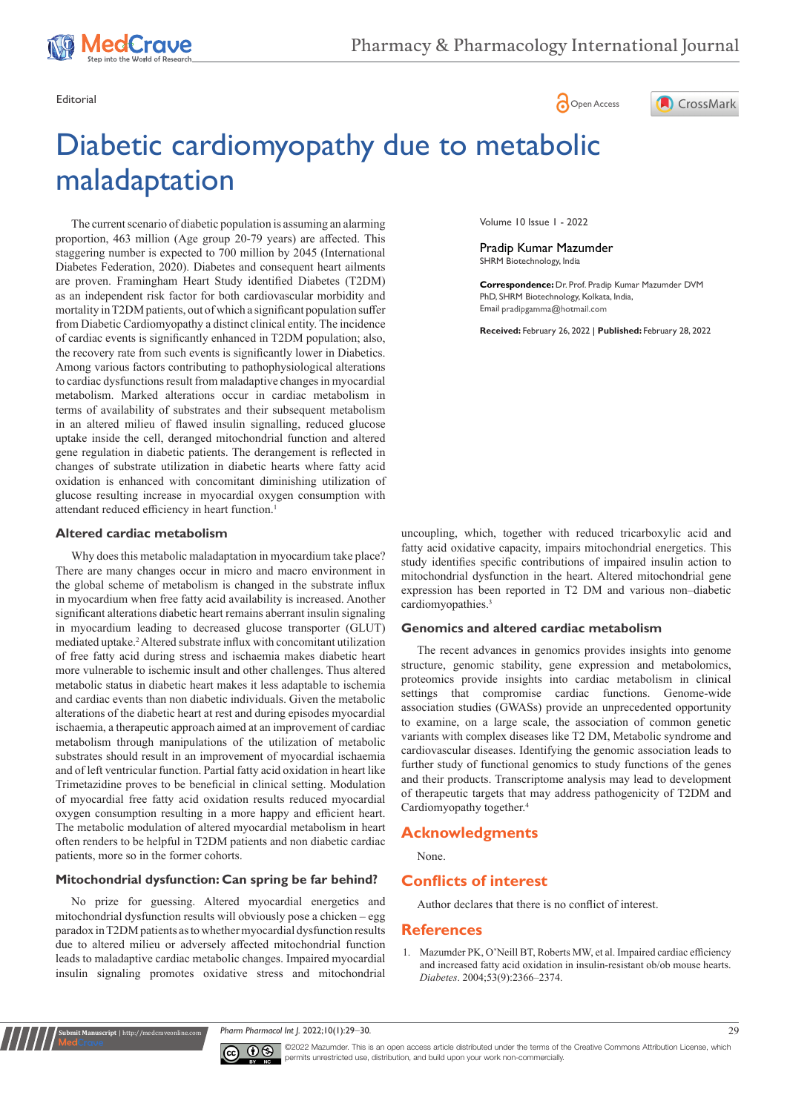

Editorial Communication of the Communication of the Communication of the Communication of Communication of Communication of Communication of Communication of Communication of Communication of Communication of Communication

# Diabetic cardiomyopathy due to metabolic maladaptation

The current scenario of diabetic population is assuming an alarming proportion, 463 million (Age group 20-79 years) are affected. This staggering number is expected to 700 million by 2045 (International Diabetes Federation, 2020). Diabetes and consequent heart ailments are proven. Framingham Heart Study identified Diabetes (T2DM) as an independent risk factor for both cardiovascular morbidity and mortality in T2DM patients, out of which a significant population suffer from Diabetic Cardiomyopathy a distinct clinical entity. The incidence of cardiac events is significantly enhanced in T2DM population; also, the recovery rate from such events is significantly lower in Diabetics. Among various factors contributing to pathophysiological alterations to cardiac dysfunctions result from maladaptive changes in myocardial metabolism. Marked alterations occur in cardiac metabolism in terms of availability of substrates and their subsequent metabolism in an altered milieu of flawed insulin signalling, reduced glucose uptake inside the cell, deranged mitochondrial function and altered gene regulation in diabetic patients. The derangement is reflected in changes of substrate utilization in diabetic hearts where fatty acid oxidation is enhanced with concomitant diminishing utilization of glucose resulting increase in myocardial oxygen consumption with attendant reduced efficiency in heart function.<sup>1</sup>

### **Altered cardiac metabolism**

Why does this metabolic maladaptation in myocardium take place? There are many changes occur in micro and macro environment in the global scheme of metabolism is changed in the substrate influx in myocardium when free fatty acid availability is increased. Another significant alterations diabetic heart remains aberrant insulin signaling in myocardium leading to decreased glucose transporter (GLUT) mediated uptake.2 Altered substrate influx with concomitant utilization of free fatty acid during stress and ischaemia makes diabetic heart more vulnerable to ischemic insult and other challenges. Thus altered metabolic status in diabetic heart makes it less adaptable to ischemia and cardiac events than non diabetic individuals. Given the metabolic alterations of the diabetic heart at rest and during episodes myocardial ischaemia, a therapeutic approach aimed at an improvement of cardiac metabolism through manipulations of the utilization of metabolic substrates should result in an improvement of myocardial ischaemia and of left ventricular function. Partial fatty acid oxidation in heart like Trimetazidine proves to be beneficial in clinical setting. Modulation of myocardial free fatty acid oxidation results reduced myocardial oxygen consumption resulting in a more happy and efficient heart. The metabolic modulation of altered myocardial metabolism in heart often renders to be helpful in T2DM patients and non diabetic cardiac patients, more so in the former cohorts.

# **Mitochondrial dysfunction: Can spring be far behind?**

No prize for guessing. Altered myocardial energetics and mitochondrial dysfunction results will obviously pose a chicken – egg paradox in T2DM patients as to whether myocardial dysfunction results due to altered milieu or adversely affected mitochondrial function leads to maladaptive cardiac metabolic changes. Impaired myocardial insulin signaling promotes oxidative stress and mitochondrial

**nit Manuscript** | http://medcraveonlin



Volume 10 Issue 1 - 2022

Pradip Kumar Mazumder SHRM Biotechnology, India

**Correspondence:** Dr. Prof. Pradip Kumar Mazumder DVM PhD, SHRM Biotechnology, Kolkata, India, Email pradipgamma@hotmail.com

**Received:** February 26, 2022 | **Published:** February 28, 2022

uncoupling, which, together with reduced tricarboxylic acid and fatty acid oxidative capacity, impairs mitochondrial energetics. This study identifies specific contributions of impaired insulin action to mitochondrial dysfunction in the heart. Altered mitochondrial gene expression has been reported in T2 DM and various non–diabetic cardiomyopathies.<sup>3</sup>

## **Genomics and altered cardiac metabolism**

The recent advances in genomics provides insights into genome structure, genomic stability, gene expression and metabolomics, proteomics provide insights into cardiac metabolism in clinical settings that compromise cardiac functions. Genome-wide association studies (GWASs) provide an unprecedented opportunity to examine, on a large scale, the association of common genetic variants with complex diseases like T2 DM, Metabolic syndrome and cardiovascular diseases. Identifying the genomic association leads to further study of functional genomics to study functions of the genes and their products. Transcriptome analysis may lead to development of therapeutic targets that may address pathogenicity of T2DM and Cardiomyopathy together.4

#### **Acknowledgments**

None.

#### **Conflicts of interest**

Author declares that there is no conflict of interest.

#### **References**

1. [Mazumder PK, O'Neill BT, Roberts MW, et al. Impaired cardiac efficiency](https://pubmed.ncbi.nlm.nih.gov/15331547/)  [and increased fatty acid oxidation in insulin-resistant ob/ob mouse hearts.](https://pubmed.ncbi.nlm.nih.gov/15331547/)  *Diabetes*[. 2004;53\(9\):2366–2374.](https://pubmed.ncbi.nlm.nih.gov/15331547/)

*Pharm Pharmacol Int J.* 2022;10(1):29‒30. 29



©2022 Mazumder. This is an open access article distributed under the terms of the [Creative Commons Attribution License](https://creativecommons.org/licenses/by-nc/4.0/), which permits unrestricted use, distribution, and build upon your work non-commercially.